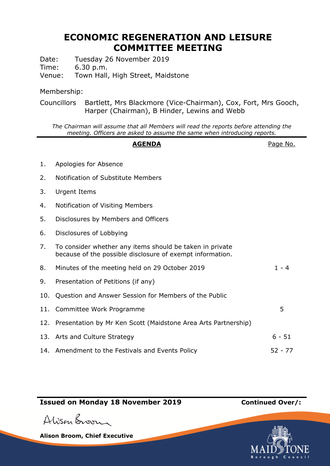## **ECONOMIC REGENERATION AND LEISURE COMMITTEE MEETING**

Date: Tuesday 26 November 2019

Time: 6.30 p.m.

Venue: Town Hall, High Street, Maidstone

## Membership:

Councillors Bartlett, Mrs Blackmore (Vice-Chairman), Cox, Fort, Mrs Gooch, Harper (Chairman), B Hinder, Lewins and Webb

*The Chairman will assume that all Members will read the reports before attending the meeting. Officers are asked to assume the same when introducing reports.*

|     | <b>AGENDA</b>                                                                                                         | Page No.  |
|-----|-----------------------------------------------------------------------------------------------------------------------|-----------|
| 1.  | Apologies for Absence                                                                                                 |           |
| 2.  | Notification of Substitute Members                                                                                    |           |
| 3.  | <b>Urgent Items</b>                                                                                                   |           |
| 4.  | Notification of Visiting Members                                                                                      |           |
| 5.  | Disclosures by Members and Officers                                                                                   |           |
| 6.  | Disclosures of Lobbying                                                                                               |           |
| 7.  | To consider whether any items should be taken in private<br>because of the possible disclosure of exempt information. |           |
| 8.  | Minutes of the meeting held on 29 October 2019                                                                        | $1 - 4$   |
| 9.  | Presentation of Petitions (if any)                                                                                    |           |
| 10. | Question and Answer Session for Members of the Public                                                                 |           |
|     | 11. Committee Work Programme                                                                                          | 5         |
|     | 12. Presentation by Mr Ken Scott (Maidstone Area Arts Partnership)                                                    |           |
|     | 13. Arts and Culture Strategy                                                                                         | $6 - 51$  |
|     | 14. Amendment to the Festivals and Events Policy                                                                      | $52 - 77$ |

## **Issued on Monday 18 November 2019 Continued Over/:**

Alison Broom

**Alison Broom, Chief Executive**